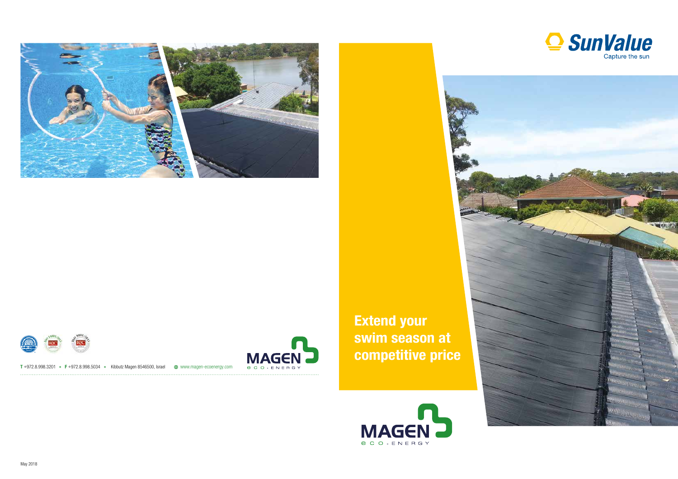



T +972.8.998.3201 • F +972.8.998.5034 • Kibbutz Magen 8546500, Israel  $\oplus$  www.magen-ecoenergy.com



**Extend your** swim season at competitive price